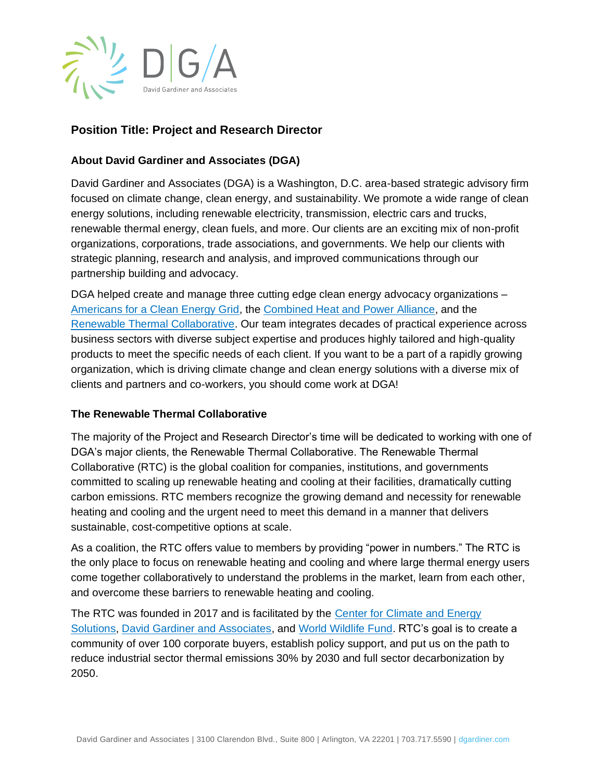

# **Position Title: Project and Research Director**

## **About David Gardiner and Associates (DGA)**

David Gardiner and Associates (DGA) is a Washington, D.C. area-based strategic advisory firm focused on climate change, clean energy, and sustainability. We promote a wide range of clean energy solutions, including renewable electricity, transmission, electric cars and trucks, renewable thermal energy, clean fuels, and more. Our clients are an exciting mix of non-profit organizations, corporations, trade associations, and governments. We help our clients with strategic planning, research and analysis, and improved communications through our partnership building and advocacy.

DGA helped create and manage three cutting edge clean energy advocacy organizations – [Americans for a Clean Energy Grid,](https://cleanenergygrid.org/) the [Combined Heat and Power Alliance,](https://chpalliance.org/) and the [Renewable Thermal Collaborative.](https://www.renewablethermal.org/) Our team integrates decades of practical experience across business sectors with diverse subject expertise and produces highly tailored and high-quality products to meet the specific needs of each client. If you want to be a part of a rapidly growing organization, which is driving climate change and clean energy solutions with a diverse mix of clients and partners and co-workers, you should come work at DGA!

#### **The Renewable Thermal Collaborative**

The majority of the Project and Research Director's time will be dedicated to working with one of DGA's major clients, the Renewable Thermal Collaborative. The Renewable Thermal Collaborative (RTC) is the global coalition for companies, institutions, and governments committed to scaling up renewable heating and cooling at their facilities, dramatically cutting carbon emissions. RTC members recognize the growing demand and necessity for renewable heating and cooling and the urgent need to meet this demand in a manner that delivers sustainable, cost-competitive options at scale.

As a coalition, the RTC offers value to members by providing "power in numbers." The RTC is the only place to focus on renewable heating and cooling and where large thermal energy users come together collaboratively to understand the problems in the market, learn from each other, and overcome these barriers to renewable heating and cooling.

The RTC was founded in 2017 and is facilitated by the [Center for Climate and Energy](https://www.c2es.org/)  [Solutions,](https://www.c2es.org/) [David Gardiner and Associates,](http://www.dgardiner.com/) and [World Wildlife Fund.](https://www.worldwildlife.org/) RTC's goal is to create a community of over 100 corporate buyers, establish policy support, and put us on the path to reduce industrial sector thermal emissions 30% by 2030 and full sector decarbonization by 2050.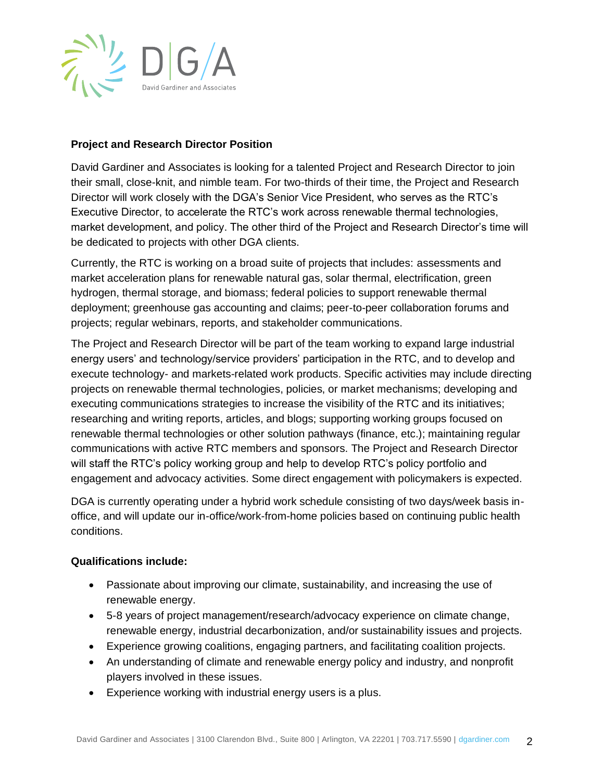

### **Project and Research Director Position**

David Gardiner and Associates is looking for a talented Project and Research Director to join their small, close-knit, and nimble team. For two-thirds of their time, the Project and Research Director will work closely with the DGA's Senior Vice President, who serves as the RTC's Executive Director, to accelerate the RTC's work across renewable thermal technologies, market development, and policy. The other third of the Project and Research Director's time will be dedicated to projects with other DGA clients.

Currently, the RTC is working on a broad suite of projects that includes: assessments and market acceleration plans for renewable natural gas, solar thermal, electrification, green hydrogen, thermal storage, and biomass; federal policies to support renewable thermal deployment; greenhouse gas accounting and claims; peer-to-peer collaboration forums and projects; regular webinars, reports, and stakeholder communications.

The Project and Research Director will be part of the team working to expand large industrial energy users' and technology/service providers' participation in the RTC, and to develop and execute technology- and markets-related work products. Specific activities may include directing projects on renewable thermal technologies, policies, or market mechanisms; developing and executing communications strategies to increase the visibility of the RTC and its initiatives; researching and writing reports, articles, and blogs; supporting working groups focused on renewable thermal technologies or other solution pathways (finance, etc.); maintaining regular communications with active RTC members and sponsors. The Project and Research Director will staff the RTC's policy working group and help to develop RTC's policy portfolio and engagement and advocacy activities. Some direct engagement with policymakers is expected.

DGA is currently operating under a hybrid work schedule consisting of two days/week basis inoffice, and will update our in-office/work-from-home policies based on continuing public health conditions.

#### **Qualifications include:**

- Passionate about improving our climate, sustainability, and increasing the use of renewable energy.
- 5-8 years of project management/research/advocacy experience on climate change, renewable energy, industrial decarbonization, and/or sustainability issues and projects.
- Experience growing coalitions, engaging partners, and facilitating coalition projects.
- An understanding of climate and renewable energy policy and industry, and nonprofit players involved in these issues.
- Experience working with industrial energy users is a plus.